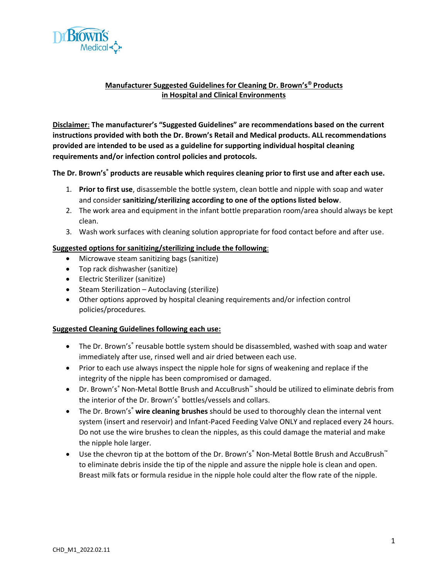

## **Manufacturer Suggested Guidelines for Cleaning Dr. Brown's® Products in Hospital and Clinical Environments**

**Disclaimer**: **The manufacturer's "Suggested Guidelines" are recommendations based on the current instructions provided with both the Dr. Brown's Retail and Medical products. ALL recommendations provided are intended to be used as a guideline for supporting individual hospital cleaning requirements and/or infection control policies and protocols.**

**The Dr. Brown's® products are reusable which requires cleaning prior to first use and after each use.** 

- 1. **Prior to first use**, disassemble the bottle system, clean bottle and nipple with soap and water and consider **sanitizing/sterilizing according to one of the options listed below**.
- 2. The work area and equipment in the infant bottle preparation room/area should always be kept clean.
- 3. Wash work surfaces with cleaning solution appropriate for food contact before and after use.

## **Suggested options for sanitizing/sterilizing include the following**:

- Microwave steam sanitizing bags (sanitize)
- Top rack dishwasher (sanitize)
- Electric Sterilizer (sanitize)
- Steam Sterilization Autoclaving (sterilize)
- Other options approved by hospital cleaning requirements and/or infection control policies/procedures.

## **Suggested Cleaning Guidelines following each use:**

- The Dr. Brown's<sup>®</sup> reusable bottle system should be disassembled, washed with soap and water immediately after use, rinsed well and air dried between each use.
- Prior to each use always inspect the nipple hole for signs of weakening and replace if the integrity of the nipple has been compromised or damaged.
- Dr. Brown's® Non-Metal Bottle Brush and AccuBrush™ should be utilized to eliminate debris from the interior of the Dr. Brown's<sup>®</sup> bottles/vessels and collars.
- The Dr. Brown's<sup>®</sup> wire cleaning brushes should be used to thoroughly clean the internal vent system (insert and reservoir) and Infant-Paced Feeding Valve ONLY and replaced every 24 hours. Do not use the wire brushes to clean the nipples, as this could damage the material and make the nipple hole larger.
- Use the chevron tip at the bottom of the Dr. Brown's® Non-Metal Bottle Brush and AccuBrush™ to eliminate debris inside the tip of the nipple and assure the nipple hole is clean and open. Breast milk fats or formula residue in the nipple hole could alter the flow rate of the nipple.